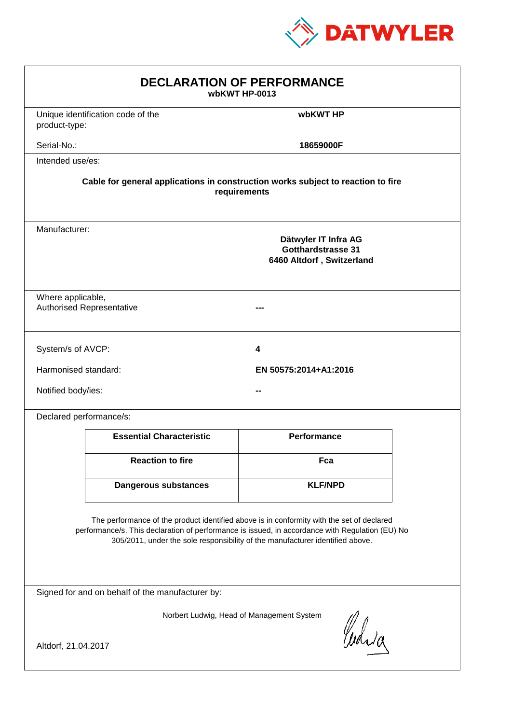

| <b>DECLARATION OF PERFORMANCE</b><br>wbKWT HP-0013                                                                                                                                                                                                                            |                                                                                          |                       |  |  |
|-------------------------------------------------------------------------------------------------------------------------------------------------------------------------------------------------------------------------------------------------------------------------------|------------------------------------------------------------------------------------------|-----------------------|--|--|
| product-type:                                                                                                                                                                                                                                                                 | Unique identification code of the                                                        | wbKWT HP              |  |  |
| Serial-No.:                                                                                                                                                                                                                                                                   |                                                                                          | 18659000F             |  |  |
| Intended use/es:                                                                                                                                                                                                                                                              |                                                                                          |                       |  |  |
| Cable for general applications in construction works subject to reaction to fire<br>requirements                                                                                                                                                                              |                                                                                          |                       |  |  |
|                                                                                                                                                                                                                                                                               | Manufacturer:<br>Dätwyler IT Infra AG<br>Gotthardstrasse 31<br>6460 Altdorf, Switzerland |                       |  |  |
| Where applicable,<br><b>Authorised Representative</b>                                                                                                                                                                                                                         |                                                                                          |                       |  |  |
| System/s of AVCP:                                                                                                                                                                                                                                                             |                                                                                          | 4                     |  |  |
| Harmonised standard:                                                                                                                                                                                                                                                          |                                                                                          | EN 50575:2014+A1:2016 |  |  |
| Notified body/ies:                                                                                                                                                                                                                                                            |                                                                                          |                       |  |  |
| Declared performance/s:                                                                                                                                                                                                                                                       |                                                                                          |                       |  |  |
|                                                                                                                                                                                                                                                                               | <b>Essential Characteristic</b>                                                          | <b>Performance</b>    |  |  |
|                                                                                                                                                                                                                                                                               | <b>Reaction to fire</b>                                                                  | Fca                   |  |  |
|                                                                                                                                                                                                                                                                               | <b>Dangerous substances</b>                                                              | <b>KLF/NPD</b>        |  |  |
| The performance of the product identified above is in conformity with the set of declared<br>performance/s. This declaration of performance is issued, in accordance with Regulation (EU) No<br>305/2011, under the sole responsibility of the manufacturer identified above. |                                                                                          |                       |  |  |
| Signed for and on behalf of the manufacturer by:                                                                                                                                                                                                                              |                                                                                          |                       |  |  |
| Norbert Ludwig, Head of Management System<br>Curia                                                                                                                                                                                                                            |                                                                                          |                       |  |  |
| Altdorf, 21.04.2017                                                                                                                                                                                                                                                           |                                                                                          |                       |  |  |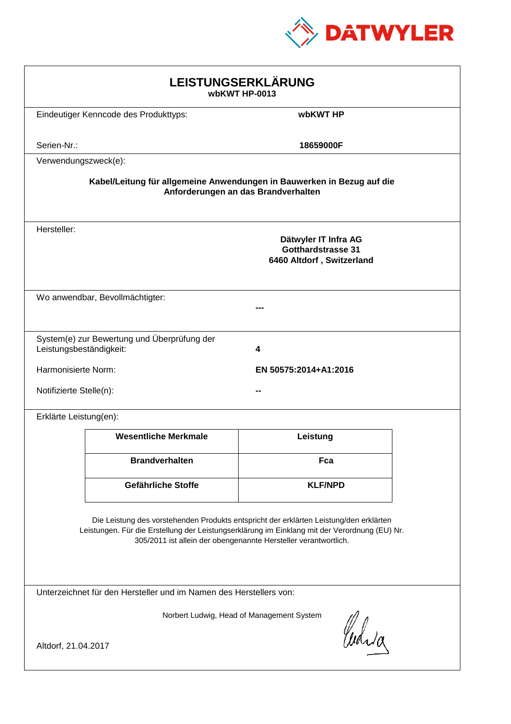

| LEISTUNGSERKLÄRUNG<br>wbKWT HP-0013                                                                                                                                                                                                                        |                                                                         |                |  |  |
|------------------------------------------------------------------------------------------------------------------------------------------------------------------------------------------------------------------------------------------------------------|-------------------------------------------------------------------------|----------------|--|--|
|                                                                                                                                                                                                                                                            | Eindeutiger Kenncode des Produkttyps:                                   | wbKWT HP       |  |  |
| Serien-Nr.:                                                                                                                                                                                                                                                |                                                                         | 18659000F      |  |  |
| Verwendungszweck(e):                                                                                                                                                                                                                                       |                                                                         |                |  |  |
| Kabel/Leitung für allgemeine Anwendungen in Bauwerken in Bezug auf die<br>Anforderungen an das Brandverhalten                                                                                                                                              |                                                                         |                |  |  |
| Hersteller:                                                                                                                                                                                                                                                | Dätwyler IT Infra AG<br>Gotthardstrasse 31<br>6460 Altdorf, Switzerland |                |  |  |
|                                                                                                                                                                                                                                                            | Wo anwendbar, Bevollmächtigter:                                         |                |  |  |
| Leistungsbeständigkeit:                                                                                                                                                                                                                                    | System(e) zur Bewertung und Überprüfung der                             | 4              |  |  |
| Harmonisierte Norm:<br>EN 50575:2014+A1:2016                                                                                                                                                                                                               |                                                                         |                |  |  |
| Notifizierte Stelle(n):                                                                                                                                                                                                                                    |                                                                         |                |  |  |
| Erklärte Leistung(en):                                                                                                                                                                                                                                     |                                                                         |                |  |  |
|                                                                                                                                                                                                                                                            | <b>Wesentliche Merkmale</b>                                             | Leistung       |  |  |
|                                                                                                                                                                                                                                                            | <b>Brandverhalten</b>                                                   | Fca            |  |  |
|                                                                                                                                                                                                                                                            | Gefährliche Stoffe                                                      | <b>KLF/NPD</b> |  |  |
| Die Leistung des vorstehenden Produkts entspricht der erklärten Leistung/den erklärten<br>Leistungen. Für die Erstellung der Leistungserklärung im Einklang mit der Verordnung (EU) Nr.<br>305/2011 ist allein der obengenannte Hersteller verantwortlich. |                                                                         |                |  |  |
| Unterzeichnet für den Hersteller und im Namen des Herstellers von:                                                                                                                                                                                         |                                                                         |                |  |  |
| Norbert Ludwig, Head of Management System<br>Curia<br>Altdorf, 21.04.2017                                                                                                                                                                                  |                                                                         |                |  |  |
|                                                                                                                                                                                                                                                            |                                                                         |                |  |  |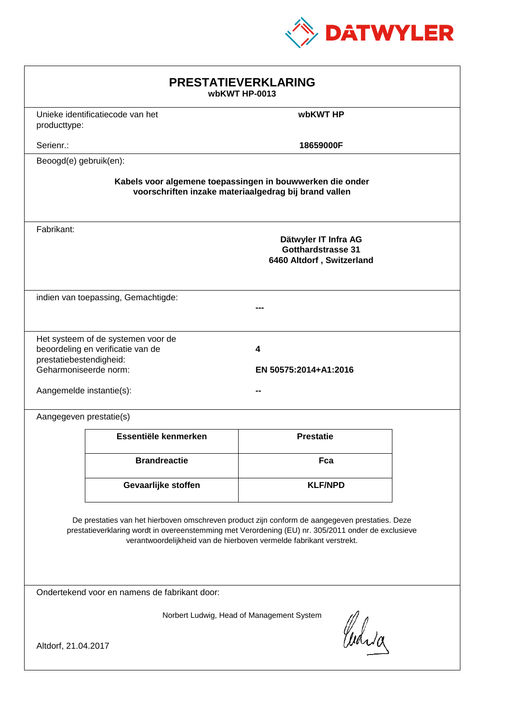

| <b>PRESTATIEVERKLARING</b><br>wbKWT HP-0013                                                                                                                                                                                                                                 |                                                                         |                                                                                |  |  |
|-----------------------------------------------------------------------------------------------------------------------------------------------------------------------------------------------------------------------------------------------------------------------------|-------------------------------------------------------------------------|--------------------------------------------------------------------------------|--|--|
| producttype:                                                                                                                                                                                                                                                                | Unieke identificatiecode van het                                        | wbKWT HP                                                                       |  |  |
| Serienr.:                                                                                                                                                                                                                                                                   |                                                                         | 18659000F                                                                      |  |  |
| Beoogd(e) gebruik(en):                                                                                                                                                                                                                                                      |                                                                         |                                                                                |  |  |
| Kabels voor algemene toepassingen in bouwwerken die onder<br>voorschriften inzake materiaalgedrag bij brand vallen                                                                                                                                                          |                                                                         |                                                                                |  |  |
| Fabrikant:                                                                                                                                                                                                                                                                  |                                                                         | Dätwyler IT Infra AG<br><b>Gotthardstrasse 31</b><br>6460 Altdorf, Switzerland |  |  |
|                                                                                                                                                                                                                                                                             | indien van toepassing, Gemachtigde:                                     |                                                                                |  |  |
| prestatiebestendigheid:<br>Geharmoniseerde norm:<br>Aangemelde instantie(s):                                                                                                                                                                                                | Het systeem of de systemen voor de<br>beoordeling en verificatie van de | 4<br>EN 50575:2014+A1:2016                                                     |  |  |
| Aangegeven prestatie(s)                                                                                                                                                                                                                                                     |                                                                         |                                                                                |  |  |
|                                                                                                                                                                                                                                                                             | Essentiële kenmerken                                                    | <b>Prestatie</b>                                                               |  |  |
|                                                                                                                                                                                                                                                                             | <b>Brandreactie</b>                                                     | Fca                                                                            |  |  |
|                                                                                                                                                                                                                                                                             | Gevaarlijke stoffen                                                     | <b>KLF/NPD</b>                                                                 |  |  |
| De prestaties van het hierboven omschreven product zijn conform de aangegeven prestaties. Deze<br>prestatieverklaring wordt in overeenstemming met Verordening (EU) nr. 305/2011 onder de exclusieve<br>verantwoordelijkheid van de hierboven vermelde fabrikant verstrekt. |                                                                         |                                                                                |  |  |
| Ondertekend voor en namens de fabrikant door:                                                                                                                                                                                                                               |                                                                         |                                                                                |  |  |
| Norbert Ludwig, Head of Management System<br>Curia<br>Altdorf, 21.04.2017                                                                                                                                                                                                   |                                                                         |                                                                                |  |  |
|                                                                                                                                                                                                                                                                             |                                                                         |                                                                                |  |  |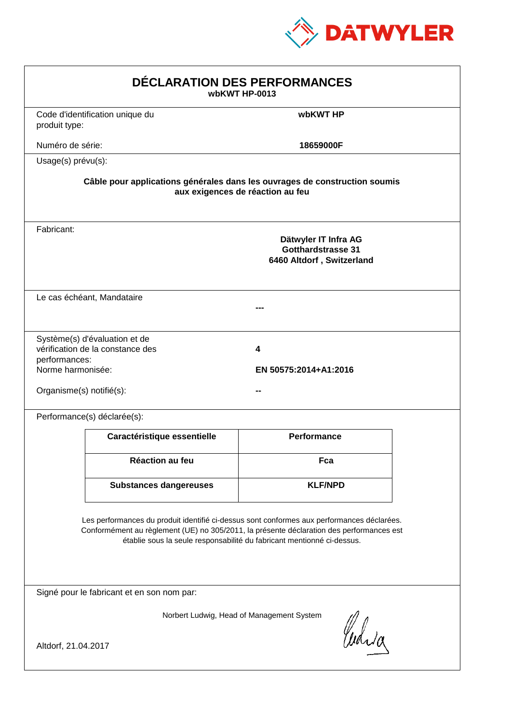

| DÉCLARATION DES PERFORMANCES<br>wbKWT HP-0013                                                                                                                                                                                                                    |                                                                                                                |                                                                                |  |  |  |
|------------------------------------------------------------------------------------------------------------------------------------------------------------------------------------------------------------------------------------------------------------------|----------------------------------------------------------------------------------------------------------------|--------------------------------------------------------------------------------|--|--|--|
| produit type:                                                                                                                                                                                                                                                    | Code d'identification unique du                                                                                | wbKWT HP                                                                       |  |  |  |
| Numéro de série:                                                                                                                                                                                                                                                 |                                                                                                                | 18659000F                                                                      |  |  |  |
| Usage(s) prévu(s):                                                                                                                                                                                                                                               |                                                                                                                |                                                                                |  |  |  |
|                                                                                                                                                                                                                                                                  | Câble pour applications générales dans les ouvrages de construction soumis<br>aux exigences de réaction au feu |                                                                                |  |  |  |
| Fabricant:                                                                                                                                                                                                                                                       |                                                                                                                | Dätwyler IT Infra AG<br><b>Gotthardstrasse 31</b><br>6460 Altdorf, Switzerland |  |  |  |
|                                                                                                                                                                                                                                                                  | Le cas échéant, Mandataire                                                                                     |                                                                                |  |  |  |
| performances:<br>Norme harmonisée:<br>Organisme(s) notifié(s):                                                                                                                                                                                                   | Système(s) d'évaluation et de<br>vérification de la constance des                                              | 4<br>EN 50575:2014+A1:2016                                                     |  |  |  |
|                                                                                                                                                                                                                                                                  | Performance(s) déclarée(s):                                                                                    |                                                                                |  |  |  |
|                                                                                                                                                                                                                                                                  | Caractéristique essentielle                                                                                    | <b>Performance</b>                                                             |  |  |  |
|                                                                                                                                                                                                                                                                  | <b>Réaction au feu</b>                                                                                         | Fca                                                                            |  |  |  |
|                                                                                                                                                                                                                                                                  | <b>Substances dangereuses</b>                                                                                  | <b>KLF/NPD</b>                                                                 |  |  |  |
| Les performances du produit identifié ci-dessus sont conformes aux performances déclarées.<br>Conformément au règlement (UE) no 305/2011, la présente déclaration des performances est<br>établie sous la seule responsabilité du fabricant mentionné ci-dessus. |                                                                                                                |                                                                                |  |  |  |
|                                                                                                                                                                                                                                                                  | Signé pour le fabricant et en son nom par:                                                                     |                                                                                |  |  |  |
| Altdorf, 21.04.2017                                                                                                                                                                                                                                              |                                                                                                                | Norbert Ludwig, Head of Management System<br>Curia                             |  |  |  |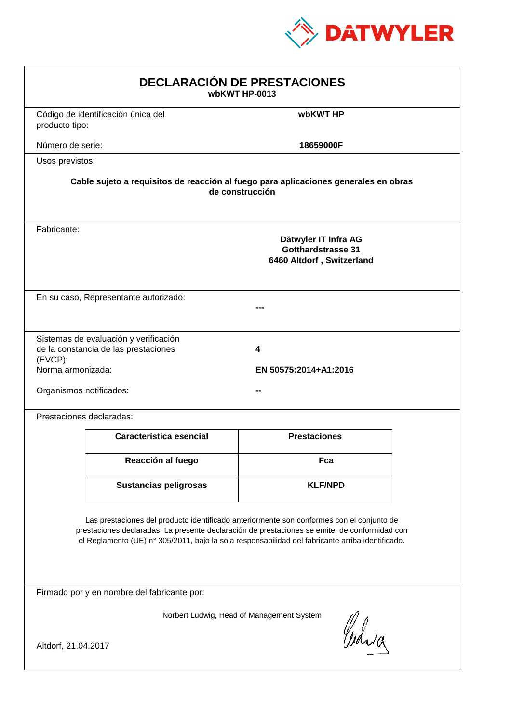

| <b>DECLARACIÓN DE PRESTACIONES</b><br>wbKWT HP-0013                                                                                                                                                                                                                                            |                                                                                                        |                            |  |  |  |
|------------------------------------------------------------------------------------------------------------------------------------------------------------------------------------------------------------------------------------------------------------------------------------------------|--------------------------------------------------------------------------------------------------------|----------------------------|--|--|--|
| producto tipo:                                                                                                                                                                                                                                                                                 | Código de identificación única del                                                                     | wbKWT HP                   |  |  |  |
| Número de serie:                                                                                                                                                                                                                                                                               |                                                                                                        | 18659000F                  |  |  |  |
| Usos previstos:                                                                                                                                                                                                                                                                                |                                                                                                        |                            |  |  |  |
|                                                                                                                                                                                                                                                                                                | Cable sujeto a requisitos de reacción al fuego para aplicaciones generales en obras<br>de construcción |                            |  |  |  |
| Fabricante:                                                                                                                                                                                                                                                                                    | Dätwyler IT Infra AG<br><b>Gotthardstrasse 31</b><br>6460 Altdorf, Switzerland                         |                            |  |  |  |
|                                                                                                                                                                                                                                                                                                |                                                                                                        |                            |  |  |  |
| $(EVCP)$ :                                                                                                                                                                                                                                                                                     |                                                                                                        | 4<br>EN 50575:2014+A1:2016 |  |  |  |
|                                                                                                                                                                                                                                                                                                |                                                                                                        |                            |  |  |  |
|                                                                                                                                                                                                                                                                                                | Característica esencial                                                                                | <b>Prestaciones</b>        |  |  |  |
|                                                                                                                                                                                                                                                                                                | Reacción al fuego                                                                                      | Fca                        |  |  |  |
|                                                                                                                                                                                                                                                                                                | <b>Sustancias peligrosas</b>                                                                           | <b>KLF/NPD</b>             |  |  |  |
| Las prestaciones del producto identificado anteriormente son conformes con el conjunto de<br>prestaciones declaradas. La presente declaración de prestaciones se emite, de conformidad con<br>el Reglamento (UE) nº 305/2011, bajo la sola responsabilidad del fabricante arriba identificado. |                                                                                                        |                            |  |  |  |
| Firmado por y en nombre del fabricante por:                                                                                                                                                                                                                                                    |                                                                                                        |                            |  |  |  |
| Norbert Ludwig, Head of Management System<br>Curia<br>Altdorf, 21.04.2017                                                                                                                                                                                                                      |                                                                                                        |                            |  |  |  |
| En su caso, Representante autorizado:<br>Sistemas de evaluación y verificación<br>de la constancia de las prestaciones<br>Norma armonizada:<br>Organismos notificados:<br>Prestaciones declaradas:                                                                                             |                                                                                                        |                            |  |  |  |